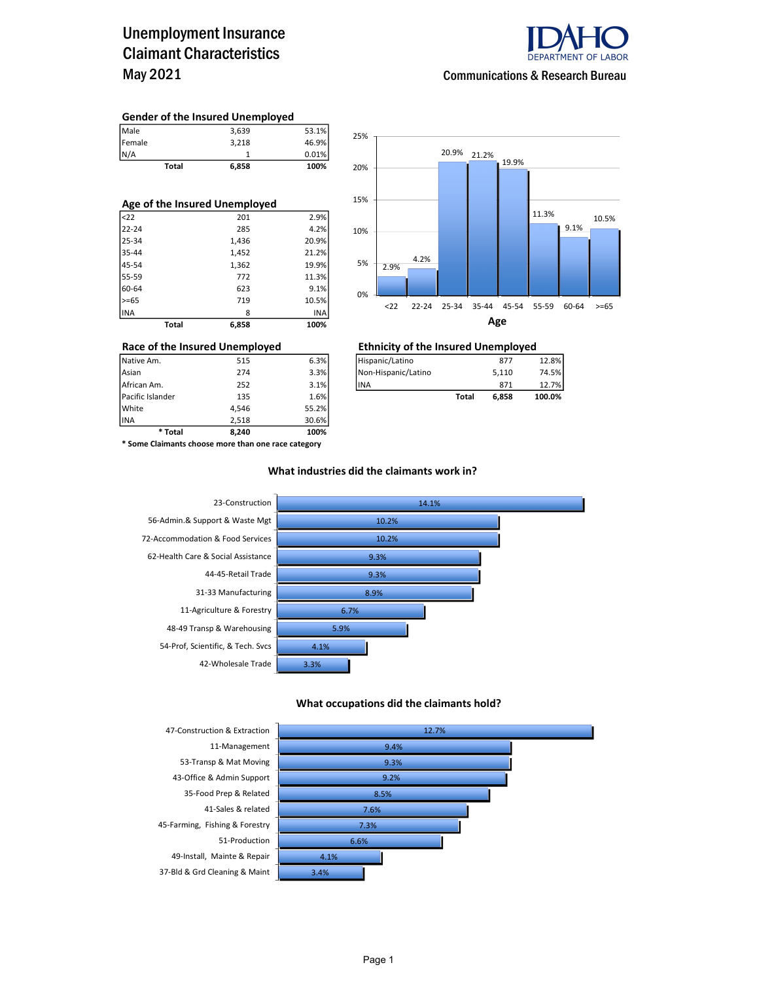### Unemployment Insurance Claimant Characteristics May 2021



#### Communications & Research Bureau

#### Gender of the Insured Unemployed

| Total  | 6,858 | 100%  |
|--------|-------|-------|
| N/A    |       | 0.01% |
| Female | 3.218 | 46.9% |
| Male   | 3,639 | 53.1% |

| Age of the Insured Unemployed |       |       |  |  |  |  |  |
|-------------------------------|-------|-------|--|--|--|--|--|
| $ $ <22                       | 201   | 2.9%  |  |  |  |  |  |
| 22-24                         | 285   | 4.2%  |  |  |  |  |  |
| 25-34                         | 1,436 | 20.9% |  |  |  |  |  |
| 35-44                         | 1,452 | 21.2% |  |  |  |  |  |
| 45-54                         | 1,362 | 19.9% |  |  |  |  |  |
| 55-59                         | 772   | 11.3% |  |  |  |  |  |
| 60-64                         | 623   | 9.1%  |  |  |  |  |  |
| $>= 65$                       | 719   | 10.5% |  |  |  |  |  |
| INA                           | 8     | INA   |  |  |  |  |  |
| Total                         | 6.858 | 100%  |  |  |  |  |  |



### Race of the Insured Unemployed<br>
Native Am. 515 6.3% Filispanic/Latino 877 877

| African Am.      | 252 | 3.1% | <b>IINA</b> |       | 871   | 12.7%  |
|------------------|-----|------|-------------|-------|-------|--------|
| Pacific Islander | 135 | 1.6% |             | Total | 6.858 | 100.0% |

INA 2,518 30.6% \* Some Claimants choose more than one race category

\* Total 8,240 100%

Pacific Islander 135 1.6% White 4,546 55.2%

#### What industries did the claimants work in?



#### What occupations did the claimants hold?



Page 1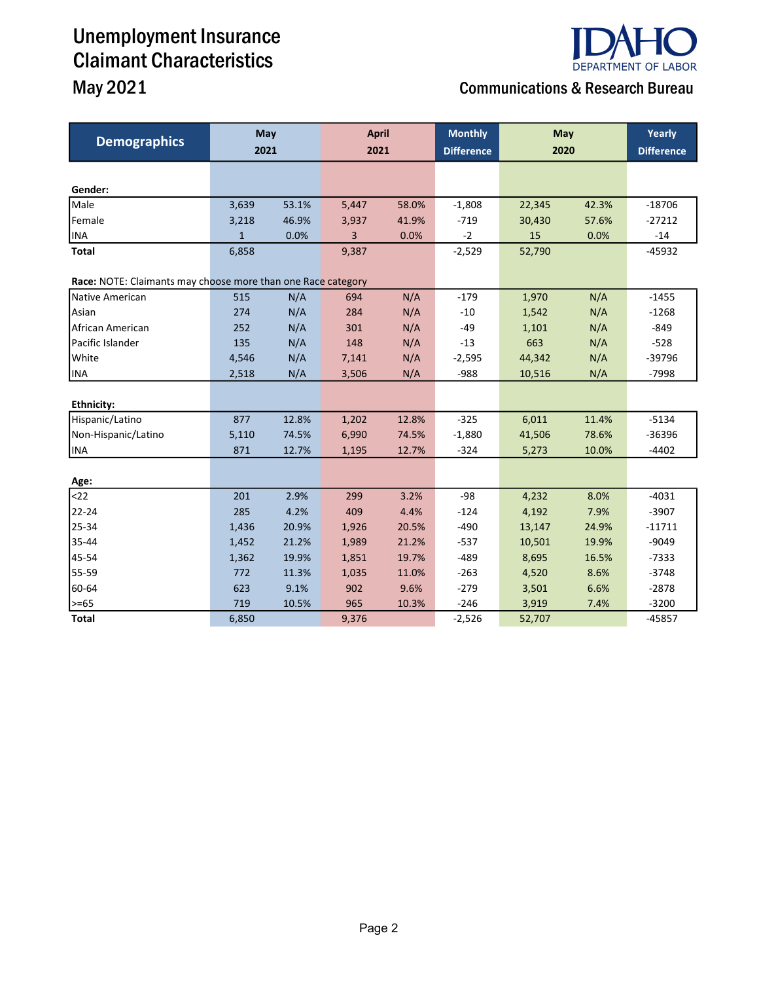## Unemployment Insurance Claimant Characteristics



## May 2021 **Communications & Research Bureau**

| <b>Demographics</b>                                          | May<br>2021  |       | <b>April</b><br>2021 |       | <b>Monthly</b><br><b>Difference</b> | May<br>2020 |       | Yearly<br><b>Difference</b> |
|--------------------------------------------------------------|--------------|-------|----------------------|-------|-------------------------------------|-------------|-------|-----------------------------|
|                                                              |              |       |                      |       |                                     |             |       |                             |
|                                                              |              |       |                      |       |                                     |             |       |                             |
| Gender:                                                      |              |       |                      |       |                                     |             |       |                             |
| Male                                                         | 3,639        | 53.1% | 5,447                | 58.0% | $-1,808$                            | 22,345      | 42.3% | $-18706$                    |
| Female                                                       | 3,218        | 46.9% | 3,937                | 41.9% | $-719$                              | 30,430      | 57.6% | $-27212$                    |
| <b>INA</b>                                                   | $\mathbf{1}$ | 0.0%  | 3                    | 0.0%  | $-2$                                | 15          | 0.0%  | $-14$                       |
| <b>Total</b>                                                 | 6,858        |       | 9,387                |       | $-2,529$                            | 52,790      |       | $-45932$                    |
| Race: NOTE: Claimants may choose more than one Race category |              |       |                      |       |                                     |             |       |                             |
| Native American                                              | 515          | N/A   | 694                  | N/A   | $-179$                              | 1,970       | N/A   | $-1455$                     |
| Asian                                                        | 274          | N/A   | 284                  | N/A   | $-10$                               | 1,542       | N/A   | $-1268$                     |
| African American                                             | 252          | N/A   | 301                  | N/A   | $-49$                               | 1,101       | N/A   | $-849$                      |
| Pacific Islander                                             | 135          | N/A   | 148                  | N/A   | $-13$                               | 663         | N/A   | $-528$                      |
| White                                                        | 4,546        | N/A   | 7,141                | N/A   | $-2,595$                            | 44,342      | N/A   | -39796                      |
| <b>INA</b>                                                   | 2,518        | N/A   | 3,506                | N/A   | $-988$                              | 10,516      | N/A   | $-7998$                     |
|                                                              |              |       |                      |       |                                     |             |       |                             |
| <b>Ethnicity:</b>                                            |              |       |                      |       |                                     |             |       |                             |
| Hispanic/Latino                                              | 877          | 12.8% | 1,202                | 12.8% | $-325$                              | 6,011       | 11.4% | $-5134$                     |
| Non-Hispanic/Latino                                          | 5,110        | 74.5% | 6,990                | 74.5% | $-1,880$                            | 41,506      | 78.6% | $-36396$                    |
| <b>INA</b>                                                   | 871          | 12.7% | 1,195                | 12.7% | $-324$                              | 5,273       | 10.0% | $-4402$                     |
|                                                              |              |       |                      |       |                                     |             |       |                             |
| Age:                                                         |              |       |                      |       |                                     |             |       |                             |
| $22$                                                         | 201          | 2.9%  | 299                  | 3.2%  | $-98$                               | 4,232       | 8.0%  | $-4031$                     |
| 22-24                                                        | 285          | 4.2%  | 409                  | 4.4%  | $-124$                              | 4,192       | 7.9%  | $-3907$                     |
| 25-34                                                        | 1,436        | 20.9% | 1,926                | 20.5% | $-490$                              | 13,147      | 24.9% | $-11711$                    |
| 35-44                                                        | 1,452        | 21.2% | 1,989                | 21.2% | $-537$                              | 10,501      | 19.9% | $-9049$                     |
| 45-54                                                        | 1,362        | 19.9% | 1,851                | 19.7% | $-489$                              | 8,695       | 16.5% | $-7333$                     |
| 55-59                                                        | 772          | 11.3% | 1,035                | 11.0% | $-263$                              | 4,520       | 8.6%  | $-3748$                     |
| 60-64                                                        | 623          | 9.1%  | 902                  | 9.6%  | $-279$                              | 3,501       | 6.6%  | $-2878$                     |
| >=65                                                         | 719          | 10.5% | 965                  | 10.3% | $-246$                              | 3,919       | 7.4%  | $-3200$                     |
| <b>Total</b>                                                 | 6,850        |       | 9,376                |       | $-2,526$                            | 52,707      |       | $-45857$                    |